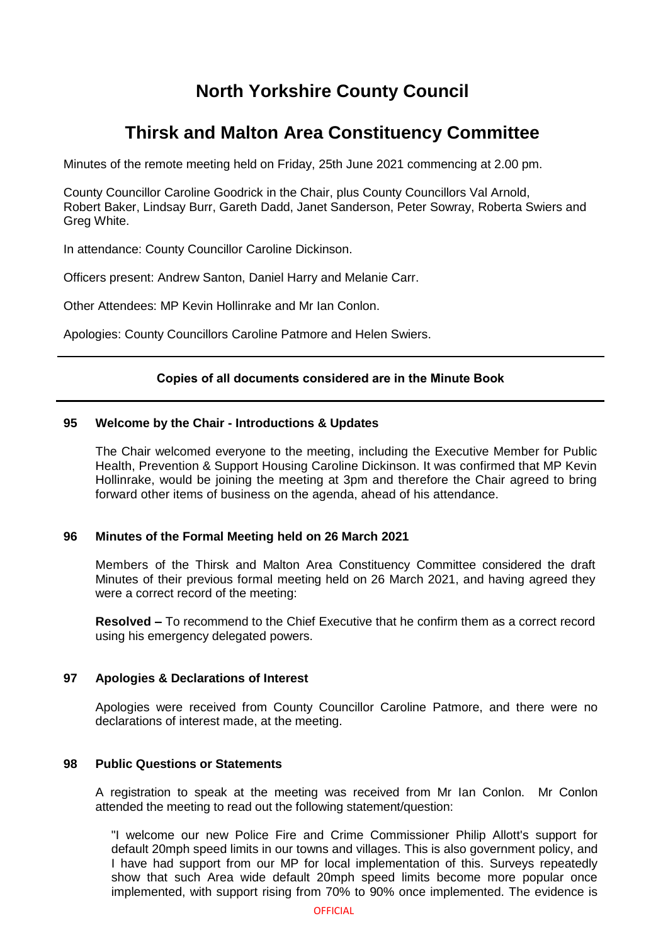# **North Yorkshire County Council**

# **Thirsk and Malton Area Constituency Committee**

Minutes of the remote meeting held on Friday, 25th June 2021 commencing at 2.00 pm.

County Councillor Caroline Goodrick in the Chair, plus County Councillors Val Arnold, Robert Baker, Lindsay Burr, Gareth Dadd, Janet Sanderson, Peter Sowray, Roberta Swiers and Greg White.

In attendance: County Councillor Caroline Dickinson.

Officers present: Andrew Santon, Daniel Harry and Melanie Carr.

Other Attendees: MP Kevin Hollinrake and Mr Ian Conlon.

Apologies: County Councillors Caroline Patmore and Helen Swiers.

## **Copies of all documents considered are in the Minute Book**

### **95 Welcome by the Chair - Introductions & Updates**

The Chair welcomed everyone to the meeting, including the Executive Member for Public Health, Prevention & Support Housing Caroline Dickinson. It was confirmed that MP Kevin Hollinrake, would be joining the meeting at 3pm and therefore the Chair agreed to bring forward other items of business on the agenda, ahead of his attendance.

## **96 Minutes of the Formal Meeting held on 26 March 2021**

Members of the Thirsk and Malton Area Constituency Committee considered the draft Minutes of their previous formal meeting held on 26 March 2021, and having agreed they were a correct record of the meeting:

**Resolved –** To recommend to the Chief Executive that he confirm them as a correct record using his emergency delegated powers.

## **97 Apologies & Declarations of Interest**

Apologies were received from County Councillor Caroline Patmore, and there were no declarations of interest made, at the meeting.

#### **98 Public Questions or Statements**

A registration to speak at the meeting was received from Mr Ian Conlon. Mr Conlon attended the meeting to read out the following statement/question:

"I welcome our new Police Fire and Crime Commissioner Philip Allott's support for default 20mph speed limits in our towns and villages. This is also government policy, and I have had support from our MP for local implementation of this. Surveys repeatedly show that such Area wide default 20mph speed limits become more popular once implemented, with support rising from 70% to 90% once implemented. The evidence is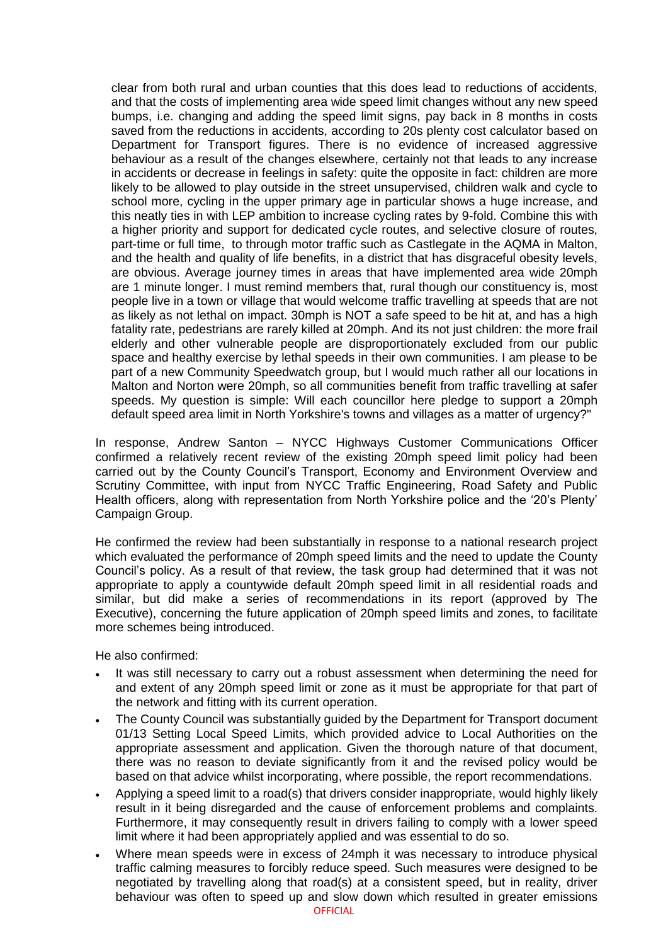clear from both rural and urban counties that this does lead to reductions of accidents, and that the costs of implementing area wide speed limit changes without any new speed bumps, i.e. changing and adding the speed limit signs, pay back in 8 months in costs saved from the reductions in accidents, according to 20s plenty cost calculator based on Department for Transport figures. There is no evidence of increased aggressive behaviour as a result of the changes elsewhere, certainly not that leads to any increase in accidents or decrease in feelings in safety: quite the opposite in fact: children are more likely to be allowed to play outside in the street unsupervised, children walk and cycle to school more, cycling in the upper primary age in particular shows a huge increase, and this neatly ties in with LEP ambition to increase cycling rates by 9-fold. Combine this with a higher priority and support for dedicated cycle routes, and selective closure of routes, part-time or full time, to through motor traffic such as Castlegate in the AQMA in Malton, and the health and quality of life benefits, in a district that has disgraceful obesity levels, are obvious. Average journey times in areas that have implemented area wide 20mph are 1 minute longer. I must remind members that, rural though our constituency is, most people live in a town or village that would welcome traffic travelling at speeds that are not as likely as not lethal on impact. 30mph is NOT a safe speed to be hit at, and has a high fatality rate, pedestrians are rarely killed at 20mph. And its not just children: the more frail elderly and other vulnerable people are disproportionately excluded from our public space and healthy exercise by lethal speeds in their own communities. I am please to be part of a new Community Speedwatch group, but I would much rather all our locations in Malton and Norton were 20mph, so all communities benefit from traffic travelling at safer speeds. My question is simple: Will each councillor here pledge to support a 20mph default speed area limit in North Yorkshire's towns and villages as a matter of urgency?"

In response, Andrew Santon – NYCC Highways Customer Communications Officer confirmed a relatively recent review of the existing 20mph speed limit policy had been carried out by the County Council's Transport, Economy and Environment Overview and Scrutiny Committee, with input from NYCC Traffic Engineering, Road Safety and Public Health officers, along with representation from North Yorkshire police and the '20's Plenty' Campaign Group.

He confirmed the review had been substantially in response to a national research project which evaluated the performance of 20mph speed limits and the need to update the County Council's policy. As a result of that review, the task group had determined that it was not appropriate to apply a countywide default 20mph speed limit in all residential roads and similar, but did make a series of recommendations in its report (approved by The Executive), concerning the future application of 20mph speed limits and zones, to facilitate more schemes being introduced.

He also confirmed:

- It was still necessary to carry out a robust assessment when determining the need for and extent of any 20mph speed limit or zone as it must be appropriate for that part of the network and fitting with its current operation.
- The County Council was substantially guided by the Department for Transport document 01/13 Setting Local Speed Limits, which provided advice to Local Authorities on the appropriate assessment and application. Given the thorough nature of that document, there was no reason to deviate significantly from it and the revised policy would be based on that advice whilst incorporating, where possible, the report recommendations.
- Applying a speed limit to a road(s) that drivers consider inappropriate, would highly likely result in it being disregarded and the cause of enforcement problems and complaints. Furthermore, it may consequently result in drivers failing to comply with a lower speed limit where it had been appropriately applied and was essential to do so.
- Where mean speeds were in excess of 24mph it was necessary to introduce physical traffic calming measures to forcibly reduce speed. Such measures were designed to be negotiated by travelling along that road(s) at a consistent speed, but in reality, driver behaviour was often to speed up and slow down which resulted in greater emissions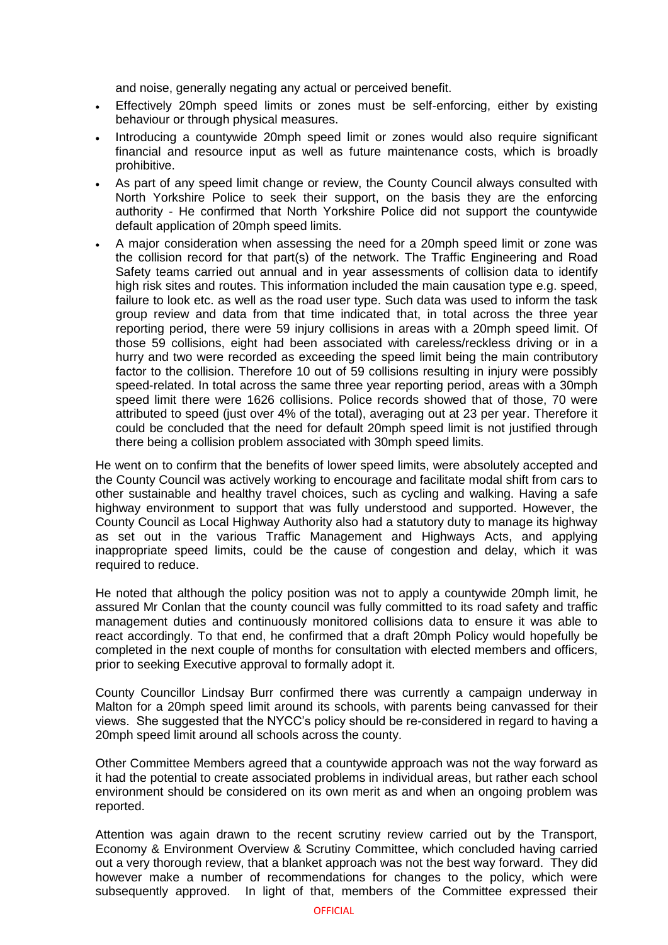and noise, generally negating any actual or perceived benefit.

- Effectively 20mph speed limits or zones must be self-enforcing, either by existing behaviour or through physical measures.
- Introducing a countywide 20mph speed limit or zones would also require significant financial and resource input as well as future maintenance costs, which is broadly prohibitive.
- As part of any speed limit change or review, the County Council always consulted with North Yorkshire Police to seek their support, on the basis they are the enforcing authority - He confirmed that North Yorkshire Police did not support the countywide default application of 20mph speed limits.
- A major consideration when assessing the need for a 20mph speed limit or zone was the collision record for that part(s) of the network. The Traffic Engineering and Road Safety teams carried out annual and in year assessments of collision data to identify high risk sites and routes. This information included the main causation type e.g. speed, failure to look etc. as well as the road user type. Such data was used to inform the task group review and data from that time indicated that, in total across the three year reporting period, there were 59 injury collisions in areas with a 20mph speed limit. Of those 59 collisions, eight had been associated with careless/reckless driving or in a hurry and two were recorded as exceeding the speed limit being the main contributory factor to the collision. Therefore 10 out of 59 collisions resulting in injury were possibly speed-related. In total across the same three year reporting period, areas with a 30mph speed limit there were 1626 collisions. Police records showed that of those, 70 were attributed to speed (just over 4% of the total), averaging out at 23 per year. Therefore it could be concluded that the need for default 20mph speed limit is not justified through there being a collision problem associated with 30mph speed limits.

He went on to confirm that the benefits of lower speed limits, were absolutely accepted and the County Council was actively working to encourage and facilitate modal shift from cars to other sustainable and healthy travel choices, such as cycling and walking. Having a safe highway environment to support that was fully understood and supported. However, the County Council as Local Highway Authority also had a statutory duty to manage its highway as set out in the various Traffic Management and Highways Acts, and applying inappropriate speed limits, could be the cause of congestion and delay, which it was required to reduce.

He noted that although the policy position was not to apply a countywide 20mph limit, he assured Mr Conlan that the county council was fully committed to its road safety and traffic management duties and continuously monitored collisions data to ensure it was able to react accordingly. To that end, he confirmed that a draft 20mph Policy would hopefully be completed in the next couple of months for consultation with elected members and officers, prior to seeking Executive approval to formally adopt it.

County Councillor Lindsay Burr confirmed there was currently a campaign underway in Malton for a 20mph speed limit around its schools, with parents being canvassed for their views. She suggested that the NYCC's policy should be re-considered in regard to having a 20mph speed limit around all schools across the county.

Other Committee Members agreed that a countywide approach was not the way forward as it had the potential to create associated problems in individual areas, but rather each school environment should be considered on its own merit as and when an ongoing problem was reported.

Attention was again drawn to the recent scrutiny review carried out by the Transport, Economy & Environment Overview & Scrutiny Committee, which concluded having carried out a very thorough review, that a blanket approach was not the best way forward. They did however make a number of recommendations for changes to the policy, which were subsequently approved. In light of that, members of the Committee expressed their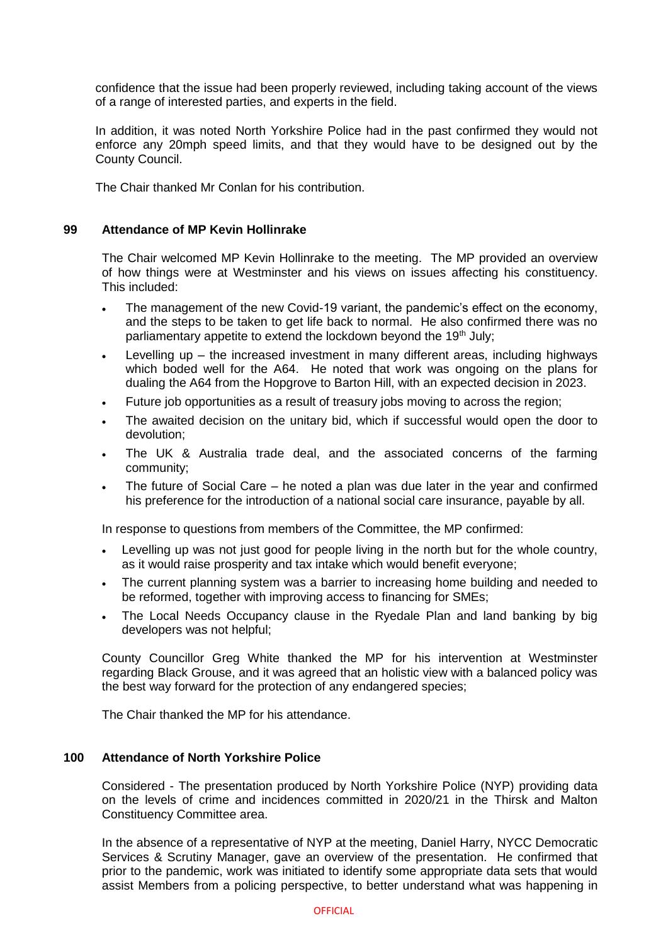confidence that the issue had been properly reviewed, including taking account of the views of a range of interested parties, and experts in the field.

In addition, it was noted North Yorkshire Police had in the past confirmed they would not enforce any 20mph speed limits, and that they would have to be designed out by the County Council.

The Chair thanked Mr Conlan for his contribution.

### **99 Attendance of MP Kevin Hollinrake**

The Chair welcomed MP Kevin Hollinrake to the meeting. The MP provided an overview of how things were at Westminster and his views on issues affecting his constituency. This included:

- The management of the new Covid-19 variant, the pandemic's effect on the economy, and the steps to be taken to get life back to normal. He also confirmed there was no parliamentary appetite to extend the lockdown beyond the 19<sup>th</sup> July;
- Levelling up the increased investment in many different areas, including highways which boded well for the A64. He noted that work was ongoing on the plans for dualing the A64 from the Hopgrove to Barton Hill, with an expected decision in 2023.
- Future job opportunities as a result of treasury jobs moving to across the region;
- The awaited decision on the unitary bid, which if successful would open the door to devolution;
- The UK & Australia trade deal, and the associated concerns of the farming community;
- The future of Social Care he noted a plan was due later in the year and confirmed his preference for the introduction of a national social care insurance, payable by all.

In response to questions from members of the Committee, the MP confirmed:

- Levelling up was not just good for people living in the north but for the whole country, as it would raise prosperity and tax intake which would benefit everyone;
- The current planning system was a barrier to increasing home building and needed to be reformed, together with improving access to financing for SMEs;
- The Local Needs Occupancy clause in the Ryedale Plan and land banking by big developers was not helpful;

County Councillor Greg White thanked the MP for his intervention at Westminster regarding Black Grouse, and it was agreed that an holistic view with a balanced policy was the best way forward for the protection of any endangered species;

The Chair thanked the MP for his attendance.

## **100 Attendance of North Yorkshire Police**

Considered - The presentation produced by North Yorkshire Police (NYP) providing data on the levels of crime and incidences committed in 2020/21 in the Thirsk and Malton Constituency Committee area.

In the absence of a representative of NYP at the meeting, Daniel Harry, NYCC Democratic Services & Scrutiny Manager, gave an overview of the presentation. He confirmed that prior to the pandemic, work was initiated to identify some appropriate data sets that would assist Members from a policing perspective, to better understand what was happening in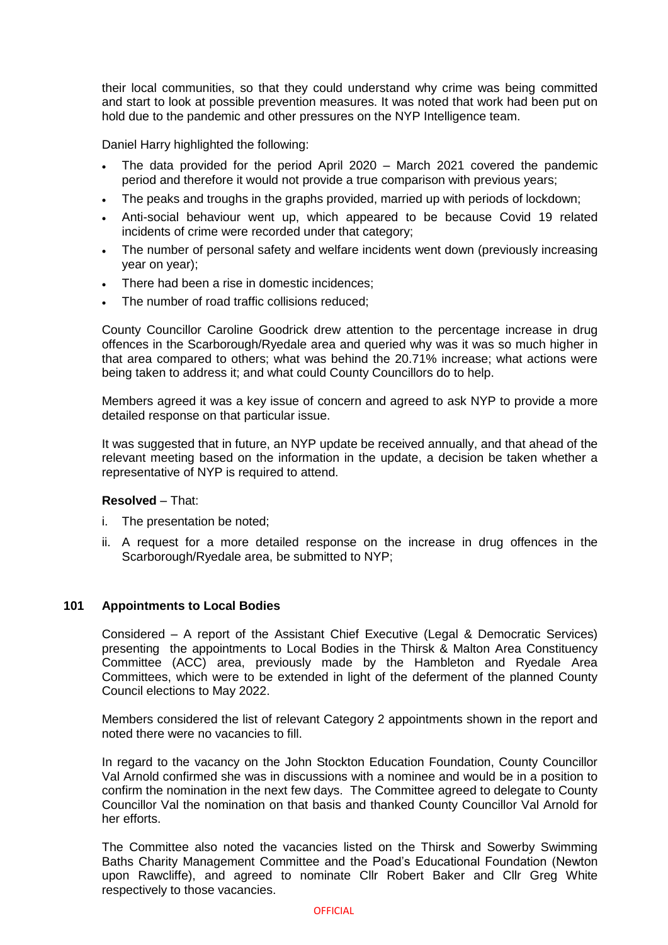their local communities, so that they could understand why crime was being committed and start to look at possible prevention measures. It was noted that work had been put on hold due to the pandemic and other pressures on the NYP Intelligence team.

Daniel Harry highlighted the following:

- The data provided for the period April 2020 March 2021 covered the pandemic period and therefore it would not provide a true comparison with previous years;
- The peaks and troughs in the graphs provided, married up with periods of lockdown;
- Anti-social behaviour went up, which appeared to be because Covid 19 related incidents of crime were recorded under that category;
- The number of personal safety and welfare incidents went down (previously increasing year on year);
- There had been a rise in domestic incidences;
- The number of road traffic collisions reduced;

County Councillor Caroline Goodrick drew attention to the percentage increase in drug offences in the Scarborough/Ryedale area and queried why was it was so much higher in that area compared to others; what was behind the 20.71% increase; what actions were being taken to address it; and what could County Councillors do to help.

Members agreed it was a key issue of concern and agreed to ask NYP to provide a more detailed response on that particular issue.

It was suggested that in future, an NYP update be received annually, and that ahead of the relevant meeting based on the information in the update, a decision be taken whether a representative of NYP is required to attend.

#### **Resolved** – That:

- i. The presentation be noted;
- ii. A request for a more detailed response on the increase in drug offences in the Scarborough/Ryedale area, be submitted to NYP;

#### **101 Appointments to Local Bodies**

Considered – A report of the Assistant Chief Executive (Legal & Democratic Services) presenting the appointments to Local Bodies in the Thirsk & Malton Area Constituency Committee (ACC) area, previously made by the Hambleton and Ryedale Area Committees, which were to be extended in light of the deferment of the planned County Council elections to May 2022.

Members considered the list of relevant Category 2 appointments shown in the report and noted there were no vacancies to fill.

In regard to the vacancy on the John Stockton Education Foundation, County Councillor Val Arnold confirmed she was in discussions with a nominee and would be in a position to confirm the nomination in the next few days. The Committee agreed to delegate to County Councillor Val the nomination on that basis and thanked County Councillor Val Arnold for her efforts.

The Committee also noted the vacancies listed on the Thirsk and Sowerby Swimming Baths Charity Management Committee and the Poad's Educational Foundation (Newton upon Rawcliffe), and agreed to nominate Cllr Robert Baker and Cllr Greg White respectively to those vacancies.